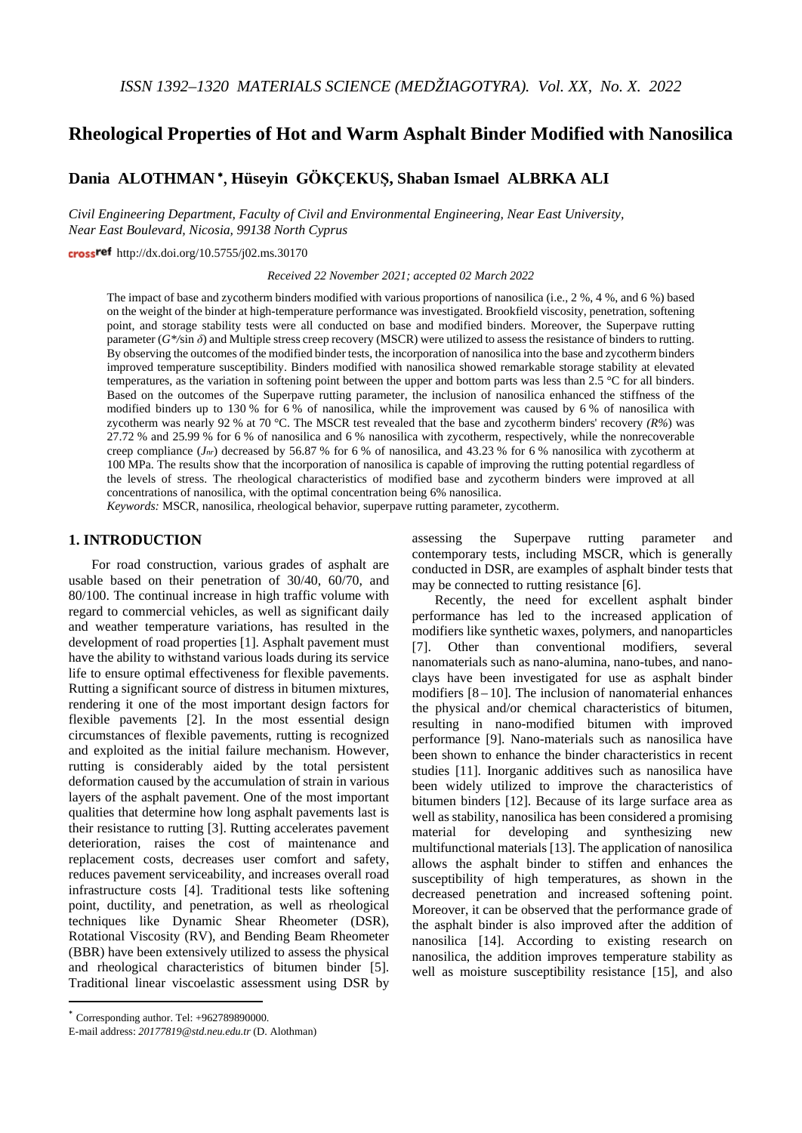# **Rheological Properties of Hot and Warm Asphalt Binder Modified with Nanosilica**

**Dania ALOTHMAN** <sup>∗</sup>, **Hüseyin GÖKÇEKUŞ, Shaban Ismael ALBRKA ALI**

*Civil Engineering Department, Faculty of Civil and Environmental Engineering, Near East University, Near East Boulevard, Nicosia, 99138 North Cyprus*

crossref  $http://dx.doi.org/10.5755/i02.ms.30170$ 

*Received 22 November 2021; accepted 02 March 2022*

The impact of base and zycotherm binders modified with various proportions of nanosilica (i.e., 2 %, 4 %, and 6 %) based on the weight of the binder at high-temperature performance was investigated. Brookfield viscosity, penetration, softening point, and storage stability tests were all conducted on base and modified binders. Moreover, the Superpave rutting parameter (*G\*/*sin *δ*) and Multiple stress creep recovery (MSCR) were utilized to assess the resistance of binders to rutting. By observing the outcomes of the modified binder tests, the incorporation of nanosilica into the base and zycotherm binders improved temperature susceptibility. Binders modified with nanosilica showed remarkable storage stability at elevated temperatures, as the variation in softening point between the upper and bottom parts was less than 2.5 °C for all binders. Based on the outcomes of the Superpave rutting parameter, the inclusion of nanosilica enhanced the stiffness of the modified binders up to 130 % for 6 % of nanosilica, while the improvement was caused by 6 % of nanosilica with zycotherm was nearly 92 % at 70 °C. The MSCR test revealed that the base and zycotherm binders' recovery *(R%*) was 27.72 % and 25.99 % for 6 % of nanosilica and 6 % nanosilica with zycotherm, respectively, while the nonrecoverable creep compliance (*Jnr*) decreased by 56.87 % for 6 % of nanosilica, and 43.23 % for 6 % nanosilica with zycotherm at 100 MPa. The results show that the incorporation of nanosilica is capable of improving the rutting potential regardless of the levels of stress. The rheological characteristics of modified base and zycotherm binders were improved at all concentrations of nanosilica, with the optimal concentration being 6% nanosilica.

*Keywords:* MSCR, nanosilica, rheological behavior, superpave rutting parameter, zycotherm.

#### **1. INTRODUCTION[\\*](#page-0-0)**

For road construction, various grades of asphalt are usable based on their penetration of 30/40, 60/70, and 80/100. The continual increase in high traffic volume with regard to commercial vehicles, as well as significant daily and weather temperature variations, has resulted in the development of road properties [1]. Asphalt pavement must have the ability to withstand various loads during its service life to ensure optimal effectiveness for flexible pavements. Rutting a significant source of distress in bitumen mixtures, rendering it one of the most important design factors for flexible pavements [2]. In the most essential design circumstances of flexible pavements, rutting is recognized and exploited as the initial failure mechanism. However, rutting is considerably aided by the total persistent deformation caused by the accumulation of strain in various layers of the asphalt pavement. One of the most important qualities that determine how long asphalt pavements last is their resistance to rutting [3]. Rutting accelerates pavement deterioration, raises the cost of maintenance and replacement costs, decreases user comfort and safety, reduces pavement serviceability, and increases overall road infrastructure costs [4]. Traditional tests like softening point, ductility, and penetration, as well as rheological techniques like Dynamic Shear Rheometer (DSR), Rotational Viscosity (RV), and Bending Beam Rheometer (BBR) have been extensively utilized to assess the physical and rheological characteristics of bitumen binder [5]. Traditional linear viscoelastic assessment using DSR by

assessing the Superpave rutting parameter and contemporary tests, including MSCR, which is generally conducted in DSR, are examples of asphalt binder tests that may be connected to rutting resistance [6].

Recently, the need for excellent asphalt binder performance has led to the increased application of modifiers like synthetic waxes, polymers, and nanoparticles [7]. Other than conventional modifiers, several nanomaterials such as nano-alumina, nano-tubes, and nanoclays have been investigated for use as asphalt binder modifiers  $[8 - 10]$ . The inclusion of nanomaterial enhances the physical and/or chemical characteristics of bitumen, resulting in nano-modified bitumen with improved performance [9]. Nano-materials such as nanosilica have been shown to enhance the binder characteristics in recent studies [11]. Inorganic additives such as nanosilica have been widely utilized to improve the characteristics of bitumen binders [12]. Because of its large surface area as well as stability, nanosilica has been considered a promising<br>material for developing and synthesizing new material for developing and synthesizing new multifunctional materials [13]. The application of nanosilica allows the asphalt binder to stiffen and enhances the susceptibility of high temperatures, as shown in the decreased penetration and increased softening point. Moreover, it can be observed that the performance grade of the asphalt binder is also improved after the addition of nanosilica [14]. According to existing research on nanosilica, the addition improves temperature stability as well as moisture susceptibility resistance [15], and also

<span id="page-0-0"></span>Corresponding author. Tel: +962789890000.

E-mail address: *[20177819@std.neu.edu.tr](mailto:20177819@std.neu.edu.tr)* (D. Alothman)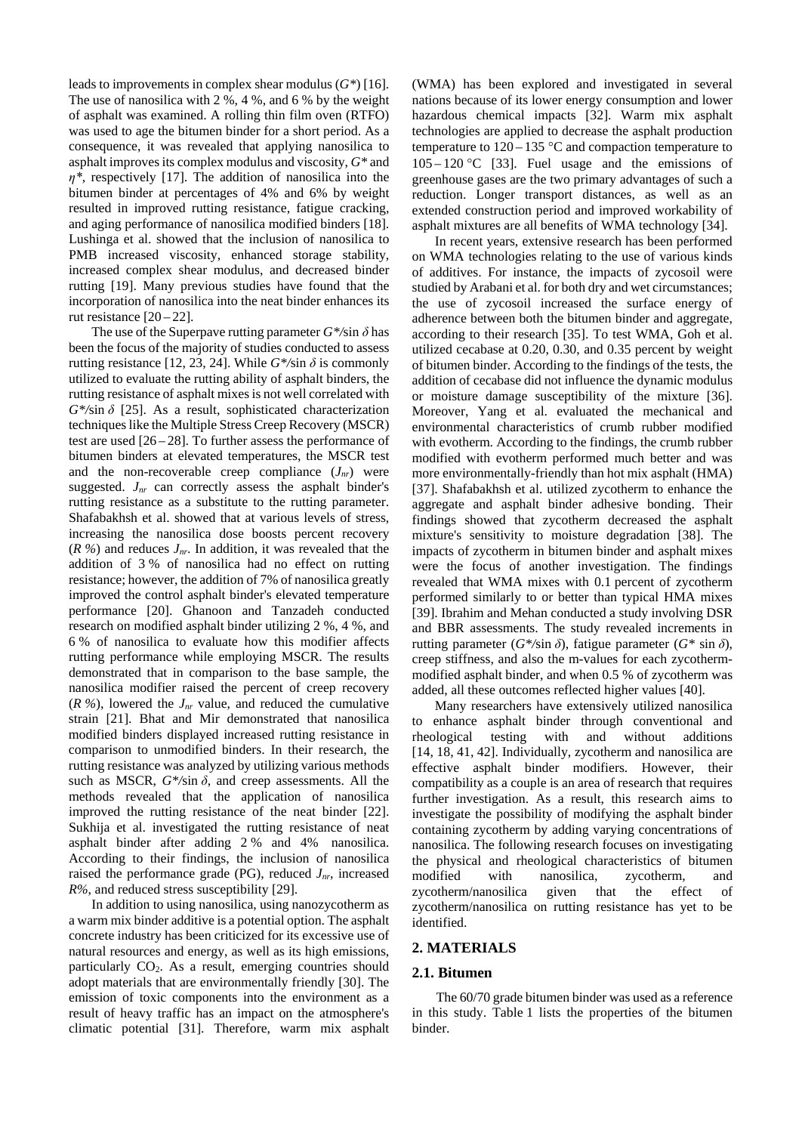leads to improvements in complex shear modulus (*G\**) [16]. The use of nanosilica with 2 %, 4 %, and 6 % by the weight of asphalt was examined. A rolling thin film oven (RTFO) was used to age the bitumen binder for a short period. As a consequence, it was revealed that applying nanosilica to asphalt improves its complex modulus and viscosity, *G\** and *η\**, respectively [17]. The addition of nanosilica into the bitumen binder at percentages of 4% and 6% by weight resulted in improved rutting resistance, fatigue cracking, and aging performance of nanosilica modified binders [18]. Lushinga et al. showed that the inclusion of nanosilica to PMB increased viscosity, enhanced storage stability, increased complex shear modulus, and decreased binder rutting [19]. Many previous studies have found that the incorporation of nanosilica into the neat binder enhances its rut resistance  $[20-22]$ .

The use of the Superpave rutting parameter  $G^*$ /sin  $\delta$  has been the focus of the majority of studies conducted to assess rutting resistance [12, 23, 24]. While  $G^*$ /sin  $\delta$  is commonly utilized to evaluate the rutting ability of asphalt binders, the rutting resistance of asphalt mixes is not well correlated with *G\*/*sin *δ* [25]. As a result, sophisticated characterization techniques like the Multiple Stress Creep Recovery (MSCR) test are used [26 – 28]. To further assess the performance of bitumen binders at elevated temperatures, the MSCR test and the non-recoverable creep compliance  $(J_{nr})$  were suggested.  $J_{nr}$  can correctly assess the asphalt binder's rutting resistance as a substitute to the rutting parameter. Shafabakhsh et al. showed that at various levels of stress, increasing the nanosilica dose boosts percent recovery  $(R\%)$  and reduces  $J_{nr}$ . In addition, it was revealed that the addition of 3 % of nanosilica had no effect on rutting resistance; however, the addition of 7% of nanosilica greatly improved the control asphalt binder's elevated temperature performance [20]. Ghanoon and Tanzadeh conducted research on modified asphalt binder utilizing 2 %, 4 %, and 6 % of nanosilica to evaluate how this modifier affects rutting performance while employing MSCR. The results demonstrated that in comparison to the base sample, the nanosilica modifier raised the percent of creep recovery  $(R\%)$ , lowered the  $J_{nr}$  value, and reduced the cumulative strain [21]. Bhat and Mir demonstrated that nanosilica modified binders displayed increased rutting resistance in comparison to unmodified binders. In their research, the rutting resistance was analyzed by utilizing various methods such as MSCR,  $G^*$ /sin  $\delta$ , and creep assessments. All the methods revealed that the application of nanosilica improved the rutting resistance of the neat binder [22]. Sukhija et al. investigated the rutting resistance of neat asphalt binder after adding 2 % and 4% nanosilica. According to their findings, the inclusion of nanosilica raised the performance grade (PG), reduced  $J_{nr}$ , increased *R%*, and reduced stress susceptibility [29].

In addition to using nanosilica, using nanozycotherm as a warm mix binder additive is a potential option. The asphalt concrete industry has been criticized for its excessive use of natural resources and energy, as well as its high emissions, particularly  $CO<sub>2</sub>$ . As a result, emerging countries should adopt materials that are environmentally friendly [30]. The emission of toxic components into the environment as a result of heavy traffic has an impact on the atmosphere's climatic potential [31]. Therefore, warm mix asphalt (WMA) has been explored and investigated in several nations because of its lower energy consumption and lower hazardous chemical impacts [32]. Warm mix asphalt technologies are applied to decrease the asphalt production temperature to  $120 - 135$  °C and compaction temperature to  $105 - 120$  °C [33]. Fuel usage and the emissions of greenhouse gases are the two primary advantages of such a reduction. Longer transport distances, as well as an extended construction period and improved workability of asphalt mixtures are all benefits of WMA technology [34].

In recent years, extensive research has been performed on WMA technologies relating to the use of various kinds of additives. For instance, the impacts of zycosoil were studied by Arabani et al. for both dry and wet circumstances; the use of zycosoil increased the surface energy of adherence between both the bitumen binder and aggregate, according to their research [35]. To test WMA, Goh et al. utilized cecabase at 0.20, 0.30, and 0.35 percent by weight of bitumen binder. According to the findings of the tests, the addition of cecabase did not influence the dynamic modulus or moisture damage susceptibility of the mixture [36]. Moreover, Yang et al. evaluated the mechanical and environmental characteristics of crumb rubber modified with evotherm. According to the findings, the crumb rubber modified with evotherm performed much better and was more environmentally-friendly than hot mix asphalt (HMA) [37]. Shafabakhsh et al. utilized zycotherm to enhance the aggregate and asphalt binder adhesive bonding. Their findings showed that zycotherm decreased the asphalt mixture's sensitivity to moisture degradation [38]. The impacts of zycotherm in bitumen binder and asphalt mixes were the focus of another investigation. The findings revealed that WMA mixes with 0.1 percent of zycotherm performed similarly to or better than typical HMA mixes [39]. Ibrahim and Mehan conducted a study involving DSR and BBR assessments. The study revealed increments in rutting parameter (*G\*/*sin *δ*), fatigue parameter (*G\** sin *δ*), creep stiffness, and also the m-values for each zycothermmodified asphalt binder, and when 0.5 % of zycotherm was added, all these outcomes reflected higher values [40].

Many researchers have extensively utilized nanosilica to enhance asphalt binder through conventional and rheological testing with and without additions [14, 18, 41, 42]. Individually, zycotherm and nanosilica are effective asphalt binder modifiers. However, their compatibility as a couple is an area of research that requires further investigation. As a result, this research aims to investigate the possibility of modifying the asphalt binder containing zycotherm by adding varying concentrations of nanosilica. The following research focuses on investigating the physical and rheological characteristics of bitumen modified with nanosilica, zycotherm, and zycotherm/nanosilica given that the effect of zycotherm/nanosilica on rutting resistance has yet to be identified.

# **2. MATERIALS**

#### **2.1. Bitumen**

The 60/70 grade bitumen binder was used as a reference in this study. Table 1 lists the properties of the bitumen binder.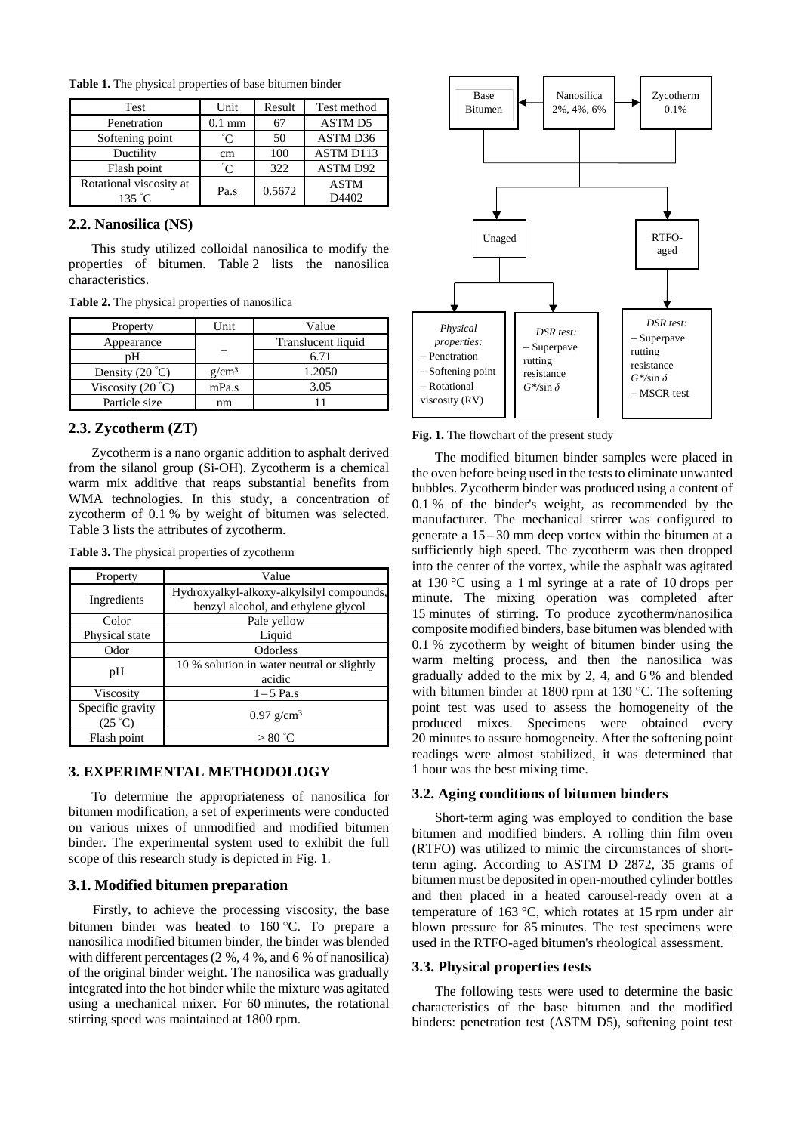| <b>Test</b>             | Unit             | Result | Test method      |  |
|-------------------------|------------------|--------|------------------|--|
| Penetration             | $0.1 \text{ mm}$ | 67     | <b>ASTM D5</b>   |  |
| Softening point         | °ຕ               | 50     | ASTM D36         |  |
| Ductility               | cm               | 100    | <b>ASTM D113</b> |  |
| Flash point             | $^{\circ}$ C     | 322    | ASTM D92         |  |
| Rotational viscosity at | Pa.s             | 0.5672 | <b>ASTM</b>      |  |
| $135 \degree C$         |                  |        | D4402            |  |

**Table 1.** The physical properties of base bitumen binder

#### **2.2. Nanosilica (NS)**

This study utilized colloidal nanosilica to modify the properties of bitumen. Table 2 lists the nanosilica characteristics.

**Table 2.** The physical properties of nanosilica

| Property                   | Unit              | Value              |
|----------------------------|-------------------|--------------------|
| Appearance                 |                   | Translucent liquid |
| nН                         |                   | 6.71               |
| Density $(20^{\circ}C)$    | g/cm <sup>3</sup> | 1.2050             |
| Viscosity $(20 \degree C)$ | mPa.s             | 3.05               |
| Particle size              | nm                |                    |

# **2.3. Zycotherm (ZT)**

Zycotherm is a nano organic addition to asphalt derived from the silanol group (Si-OH). Zycotherm is a chemical warm mix additive that reaps substantial benefits from WMA technologies. In this study, a concentration of zycotherm of 0.1 % by weight of bitumen was selected. Table 3 lists the attributes of zycotherm.

| Table 3. The physical properties of zycotherm |  |
|-----------------------------------------------|--|
|-----------------------------------------------|--|

| Property                             | Value                                                                            |  |  |
|--------------------------------------|----------------------------------------------------------------------------------|--|--|
| Ingredients                          | Hydroxyalkyl-alkoxy-alkylsilyl compounds,<br>benzyl alcohol, and ethylene glycol |  |  |
| Color                                | Pale yellow                                                                      |  |  |
| Physical state                       | Liquid                                                                           |  |  |
| Odor                                 | Odorless                                                                         |  |  |
| pH                                   | 10 % solution in water neutral or slightly<br>acidic                             |  |  |
| <b>Viscosity</b>                     | $1-5$ Pa.s                                                                       |  |  |
| Specific gravity<br>$(25 \degree C)$ | $0.97$ g/cm <sup>3</sup>                                                         |  |  |
| Flash point                          | $>80\degree$ C                                                                   |  |  |

# **3. EXPERIMENTAL METHODOLOGY**

To determine the appropriateness of nanosilica for bitumen modification, a set of experiments were conducted on various mixes of unmodified and modified bitumen binder. The experimental system used to exhibit the full scope of this research study is depicted in Fig. 1.

# **3.1. Modified bitumen preparation**

Firstly, to achieve the processing viscosity, the base bitumen binder was heated to 160 °C. To prepare a nanosilica modified bitumen binder, the binder was blended with different percentages (2 %, 4 %, and 6 % of nanosilica) of the original binder weight. The nanosilica was gradually integrated into the hot binder while the mixture was agitated using a mechanical mixer. For 60 minutes, the rotational stirring speed was maintained at 1800 rpm.



**Fig. 1.** The flowchart of the present study

The modified bitumen binder samples were placed in the oven before being used in the tests to eliminate unwanted bubbles. Zycotherm binder was produced using a content of 0.1 % of the binder's weight, as recommended by the manufacturer. The mechanical stirrer was configured to generate a 15 – 30 mm deep vortex within the bitumen at a sufficiently high speed. The zycotherm was then dropped into the center of the vortex, while the asphalt was agitated at 130 °C using a 1 ml syringe at a rate of 10 drops per minute. The mixing operation was completed after 15 minutes of stirring. To produce zycotherm/nanosilica composite modified binders, base bitumen was blended with 0.1 % zycotherm by weight of bitumen binder using the warm melting process, and then the nanosilica was gradually added to the mix by 2, 4, and 6 % and blended with bitumen binder at 1800 rpm at 130 °C. The softening point test was used to assess the homogeneity of the produced mixes. Specimens were obtained every 20 minutes to assure homogeneity. After the softening point readings were almost stabilized, it was determined that 1 hour was the best mixing time.

### **3.2. Aging conditions of bitumen binders**

Short-term aging was employed to condition the base bitumen and modified binders. A rolling thin film oven (RTFO) was utilized to mimic the circumstances of shortterm aging. According to ASTM D 2872, 35 grams of bitumen must be deposited in open-mouthed cylinder bottles and then placed in a heated carousel-ready oven at a temperature of 163 °C, which rotates at 15 rpm under air blown pressure for 85 minutes. The test specimens were used in the RTFO-aged bitumen's rheological assessment.

# **3.3. Physical properties tests**

The following tests were used to determine the basic characteristics of the base bitumen and the modified binders: penetration test (ASTM D5), softening point test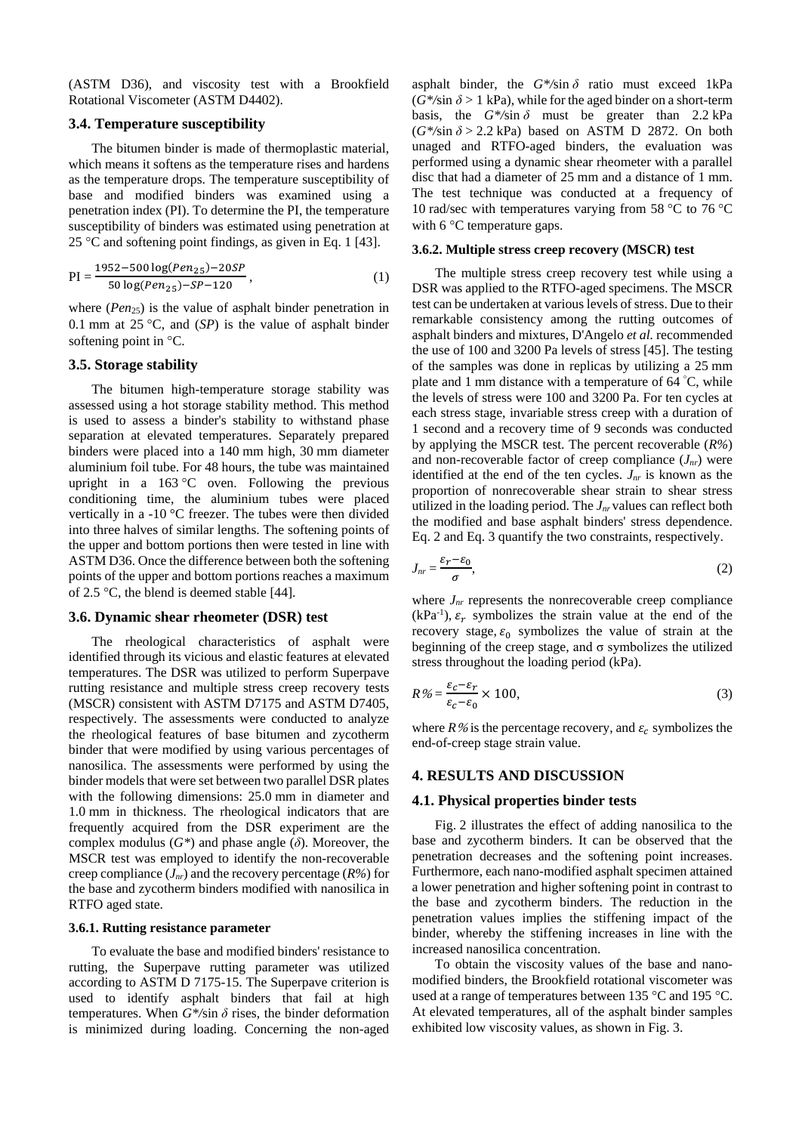(ASTM D36), and viscosity test with a Brookfield Rotational Viscometer (ASTM D4402).

# **3.4. Temperature susceptibility**

The bitumen binder is made of thermoplastic material, which means it softens as the temperature rises and hardens as the temperature drops. The temperature susceptibility of base and modified binders was examined using a penetration index (PI). To determine the PI, the temperature susceptibility of binders was estimated using penetration at 25 °C and softening point findings, as given in Eq. 1 [43].

$$
PI = \frac{1952 - 500 \log (Pen_{25}) - 20SP}{50 \log (Pen_{25}) - SP - 120},
$$
\n(1)

where (*Pen*<sub>25</sub>) is the value of asphalt binder penetration in 0.1 mm at 25 °C, and (*SP*) is the value of asphalt binder softening point in °C.

# **3.5. Storage stability**

The bitumen high-temperature storage stability was assessed using a hot storage stability method. This method is used to assess a binder's stability to withstand phase separation at elevated temperatures. Separately prepared binders were placed into a 140 mm high, 30 mm diameter aluminium foil tube. For 48 hours, the tube was maintained upright in a  $163^{\circ}$ C oven. Following the previous conditioning time, the aluminium tubes were placed vertically in a -10 °C freezer. The tubes were then divided into three halves of similar lengths. The softening points of the upper and bottom portions then were tested in line with ASTM D36. Once the difference between both the softening points of the upper and bottom portions reaches a maximum of 2.5 °C, the blend is deemed stable [44].

#### **3.6. Dynamic shear rheometer (DSR) test**

The rheological characteristics of asphalt were identified through its vicious and elastic features at elevated temperatures. The DSR was utilized to perform Superpave rutting resistance and multiple stress creep recovery tests (MSCR) consistent with ASTM D7175 and ASTM D7405, respectively. The assessments were conducted to analyze the rheological features of base bitumen and zycotherm binder that were modified by using various percentages of nanosilica. The assessments were performed by using the binder models that were set between two parallel DSR plates with the following dimensions: 25.0 mm in diameter and 1.0 mm in thickness. The rheological indicators that are frequently acquired from the DSR experiment are the complex modulus  $(G^*)$  and phase angle  $(\delta)$ . Moreover, the MSCR test was employed to identify the non-recoverable creep compliance (*Jnr*) and the recovery percentage (*R%*) for the base and zycotherm binders modified with nanosilica in RTFO aged state.

# **3.6.1. Rutting resistance parameter**

To evaluate the base and modified binders' resistance to rutting, the Superpave rutting parameter was utilized according to ASTM D 7175-15. The Superpave criterion is used to identify asphalt binders that fail at high temperatures. When  $G^*$ /sin  $\delta$  rises, the binder deformation is minimized during loading. Concerning the non-aged asphalt binder, the  $G^*$ /sin  $\delta$  ratio must exceed 1kPa  $(G^*$ /sin  $\delta > 1$  kPa), while for the aged binder on a short-term basis, the  $G^*$ /sin  $\delta$  must be greater than 2.2 kPa  $(G^*/\sin \delta > 2.2$  kPa) based on ASTM D 2872. On both unaged and RTFO-aged binders, the evaluation was performed using a dynamic shear rheometer with a parallel disc that had a diameter of 25 mm and a distance of 1 mm. The test technique was conducted at a frequency of 10 rad/sec with temperatures varying from 58 °C to 76 °C with 6 °C temperature gaps.

#### **3.6.2. Multiple stress creep recovery (MSCR) test**

The multiple stress creep recovery test while using a DSR was applied to the RTFO-aged specimens. The MSCR test can be undertaken at various levels of stress. Due to their remarkable consistency among the rutting outcomes of asphalt binders and mixtures, D'Angelo *et al.* recommended the use of 100 and 3200 Pa levels of stress [45]. The testing of the samples was done in replicas by utilizing a 25 mm plate and 1 mm distance with a temperature of 64 ° C, while the levels of stress were 100 and 3200 Pa. For ten cycles at each stress stage, invariable stress creep with a duration of 1 second and a recovery time of 9 seconds was conducted by applying the MSCR test. The percent recoverable (*R%*) and non-recoverable factor of creep compliance  $(J_{nr})$  were identified at the end of the ten cycles.  $J_{nr}$  is known as the proportion of nonrecoverable shear strain to shear stress utilized in the loading period. The *Jnr* values can reflect both the modified and base asphalt binders' stress dependence. Eq. 2 and Eq. 3 quantify the two constraints, respectively.

$$
J_{nr} = \frac{\varepsilon_r - \varepsilon_0}{\sigma},\tag{2}
$$

where  $J_{nr}$  represents the nonrecoverable creep compliance  $(kPa^{-1})$ ,  $\varepsilon_r$  symbolizes the strain value at the end of the recovery stage,  $\varepsilon_0$  symbolizes the value of strain at the beginning of the creep stage, and σ symbolizes the utilized stress throughout the loading period (kPa).

$$
R\% = \frac{\varepsilon_c - \varepsilon_r}{\varepsilon_c - \varepsilon_0} \times 100,\tag{3}
$$

where  $R$ % is the percentage recovery, and  $\varepsilon_c$  symbolizes the end-of-creep stage strain value.

#### **4. RESULTS AND DISCUSSION**

# **4.1. Physical properties binder tests**

Fig. 2 illustrates the effect of adding nanosilica to the base and zycotherm binders. It can be observed that the penetration decreases and the softening point increases. Furthermore, each nano-modified asphalt specimen attained a lower penetration and higher softening point in contrast to the base and zycotherm binders. The reduction in the penetration values implies the stiffening impact of the binder, whereby the stiffening increases in line with the increased nanosilica concentration.

To obtain the viscosity values of the base and nanomodified binders, the Brookfield rotational viscometer was used at a range of temperatures between 135 °C and 195 °C. At elevated temperatures, all of the asphalt binder samples exhibited low viscosity values, as shown in Fig. 3.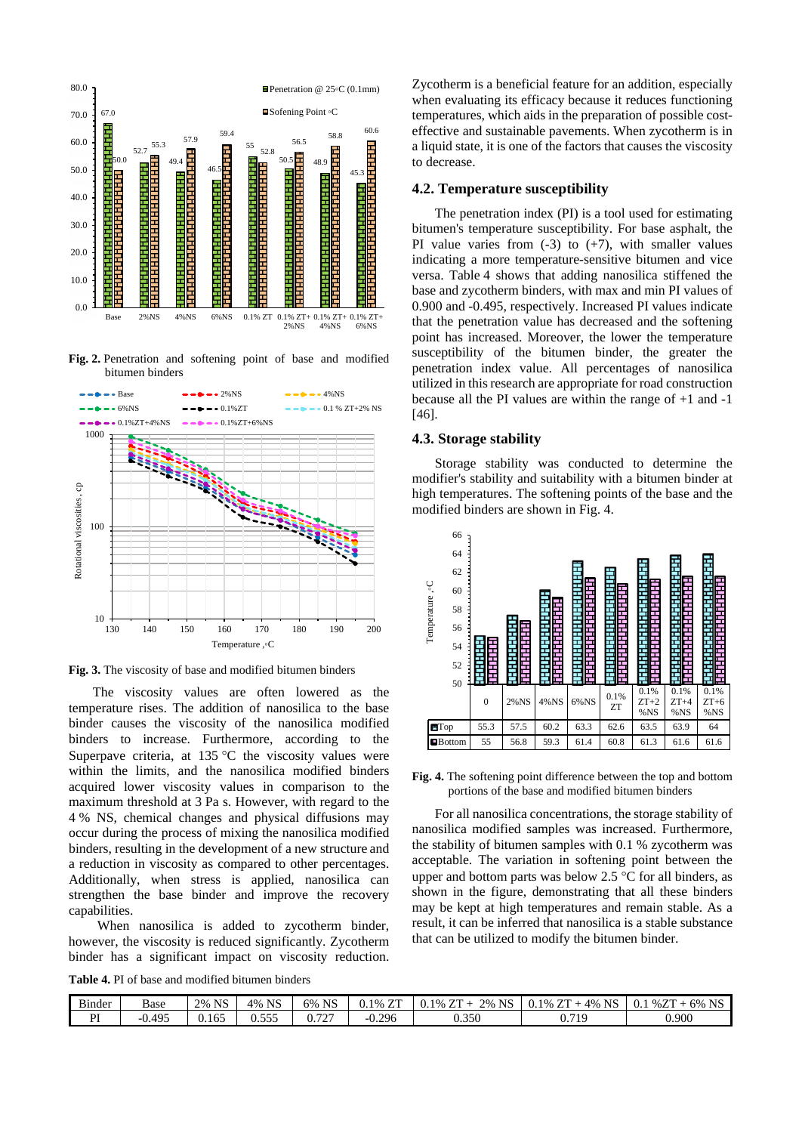

**Fig. 2.** Penetration and softening point of base and modified bitumen binders



**Fig. 3.** The viscosity of base and modified bitumen binders

The viscosity values are often lowered as the temperature rises. The addition of nanosilica to the base binder causes the viscosity of the nanosilica modified binders to increase. Furthermore, according to the Superpave criteria, at  $135^{\circ}$ C the viscosity values were within the limits, and the nanosilica modified binders acquired lower viscosity values in comparison to the maximum threshold at 3 Pa s. However, with regard to the 4 % NS, chemical changes and physical diffusions may occur during the process of mixing the nanosilica modified binders, resulting in the development of a new structure and a reduction in viscosity as compared to other percentages. Additionally, when stress is applied, nanosilica can strengthen the base binder and improve the recovery capabilities.

When nanosilica is added to zycotherm binder, however, the viscosity is reduced significantly. Zycotherm binder has a significant impact on viscosity reduction.

**Table 4.** PI of base and modified bitumen binders

Zycotherm is a beneficial feature for an addition, especially when evaluating its efficacy because it reduces functioning temperatures, which aids in the preparation of possible costeffective and sustainable pavements. When zycotherm is in a liquid state, it is one of the factors that causes the viscosity to decrease.

# **4.2. Temperature susceptibility**

The penetration index (PI) is a tool used for estimating bitumen's temperature susceptibility. For base asphalt, the PI value varies from  $(-3)$  to  $(+7)$ , with smaller values indicating a more temperature-sensitive bitumen and vice versa. Table 4 shows that adding nanosilica stiffened the base and zycotherm binders, with max and min PI values of 0.900 and -0.495, respectively. Increased PI values indicate that the penetration value has decreased and the softening point has increased. Moreover, the lower the temperature susceptibility of the bitumen binder, the greater the penetration index value. All percentages of nanosilica utilized in this research are appropriate for road construction because all the PI values are within the range of +1 and -1 [46].

# **4.3. Storage stability**

Storage stability was conducted to determine the modifier's stability and suitability with a bitumen binder at high temperatures. The softening points of the base and the modified binders are shown in Fig. 4.



**Fig. 4.** The softening point difference between the top and bottom portions of the base and modified bitumen binders

For all nanosilica concentrations, the storage stability of nanosilica modified samples was increased. Furthermore, the stability of bitumen samples with 0.1 % zycotherm was acceptable. The variation in softening point between the upper and bottom parts was below 2.5 °C for all binders, as shown in the figure, demonstrating that all these binders may be kept at high temperatures and remain stable. As a result, it can be inferred that nanosilica is a stable substance that can be utilized to modify the bitumen binder.

| $\sim$<br>Binder | Base     | <b>NS</b><br>2% | <b>NS</b><br>4% | NS<br>6%<br>د ۱۹   | 77T<br>1%<br>∪.⊥<br>∸ | <b>NS</b><br>$\sim$<br>2%<br>$1\%$ .<br>--<br>v. 1<br>∠⊥ | $\mathbf{F}$<br>$\sim$<br>4%<br>$0.1\,$<br>$1\%$ .<br>NS.<br>-- | $1\%2^{T}$<br><b>NTC</b><br>6%<br>$\sim$<br>$U_{\rm{tot}}$<br>درالا |
|------------------|----------|-----------------|-----------------|--------------------|-----------------------|----------------------------------------------------------|-----------------------------------------------------------------|---------------------------------------------------------------------|
| $- -$<br>. .     | $-0.495$ | 0.165<br>$\sim$ | n 555<br>v.JJJ  | $\sqrt{2}$<br>0.12 | $-0.296$              | 0.350                                                    | <b>710</b><br>0.11                                              | 0.900                                                               |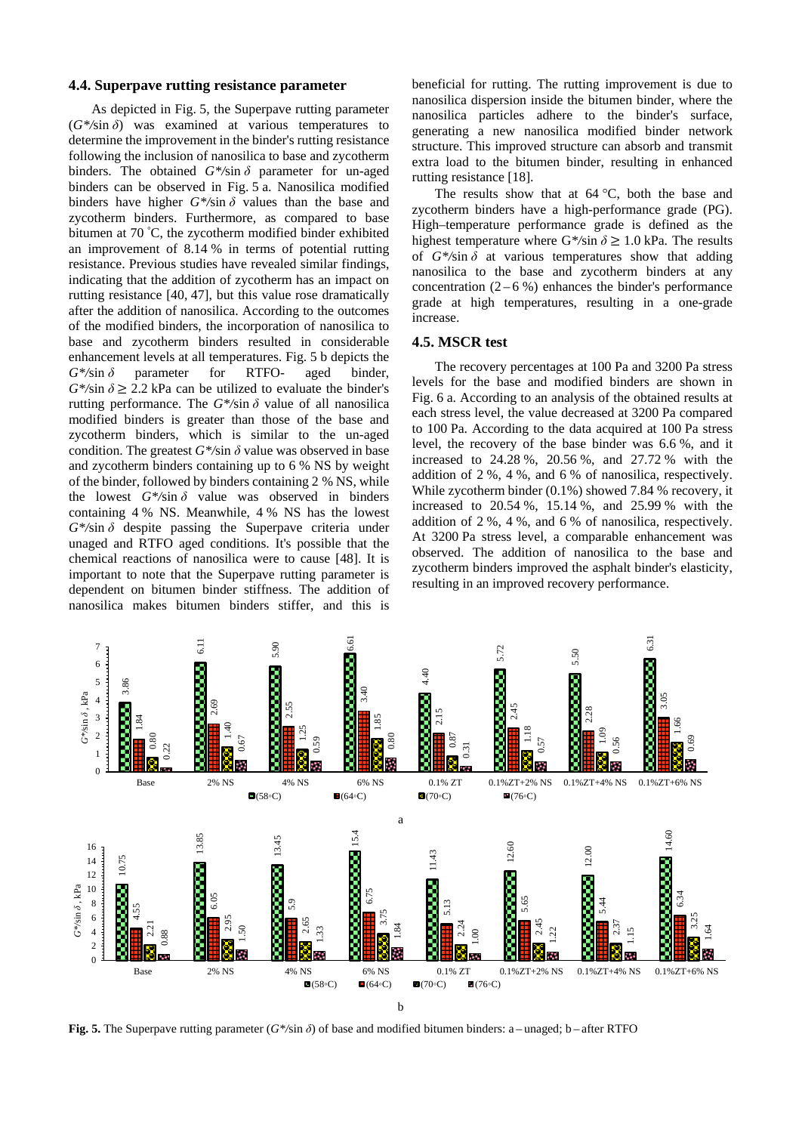### **4.4. Superpave rutting resistance parameter**

As depicted in Fig. 5, the Superpave rutting parameter  $(G^*/\sin \delta)$  was examined at various temperatures to determine the improvement in the binder's rutting resistance following the inclusion of nanosilica to base and zycotherm binders. The obtained  $G^*$ /sin  $\delta$  parameter for un-aged binders can be observed in Fig. 5 a. Nanosilica modified binders have higher  $G^*$ /sin  $\delta$  values than the base and zycotherm binders. Furthermore, as compared to base bitumen at 70 ° C, the zycotherm modified binder exhibited an improvement of 8.14 % in terms of potential rutting resistance. Previous studies have revealed similar findings, indicating that the addition of zycotherm has an impact on rutting resistance [40, 47], but this value rose dramatically after the addition of nanosilica. According to the outcomes of the modified binders, the incorporation of nanosilica to base and zycotherm binders resulted in considerable enhancement levels at all temperatures. Fig. 5 b depicts the *G\*/*sin *δ* parameter for RTFO- aged binder,  $G^*$ /sin  $\delta \geq 2.2$  kPa can be utilized to evaluate the binder's rutting performance. The  $G^*$ /sin  $\delta$  value of all nanosilica modified binders is greater than those of the base and zycotherm binders, which is similar to the un-aged condition. The greatest  $G^*$ /sin  $\delta$  value was observed in base and zycotherm binders containing up to 6 % NS by weight of the binder, followed by binders containing 2 % NS, while the lowest  $G^*$ /sin  $\delta$  value was observed in binders containing 4 % NS. Meanwhile, 4 % NS has the lowest *G\*/*sin *δ* despite passing the Superpave criteria under unaged and RTFO aged conditions. It's possible that the chemical reactions of nanosilica were to cause [48]. It is important to note that the Superpave rutting parameter is dependent on bitumen binder stiffness. The addition of nanosilica makes bitumen binders stiffer, and this is

beneficial for rutting. The rutting improvement is due to nanosilica dispersion inside the bitumen binder, where the nanosilica particles adhere to the binder's surface, generating a new nanosilica modified binder network structure. This improved structure can absorb and transmit extra load to the bitumen binder, resulting in enhanced rutting resistance [18].

The results show that at  $64^{\circ}$ C, both the base and zycotherm binders have a high-performance grade (PG). High–temperature performance grade is defined as the highest temperature where  $G^*$ /sin  $\delta \geq 1.0$  kPa. The results of  $G^*$ /sin  $\delta$  at various temperatures show that adding nanosilica to the base and zycotherm binders at any concentration  $(2 - 6\%)$  enhances the binder's performance grade at high temperatures, resulting in a one-grade increase.

#### **4.5. MSCR test**

The recovery percentages at 100 Pa and 3200 Pa stress levels for the base and modified binders are shown in Fig. 6 a. According to an analysis of the obtained results at each stress level, the value decreased at 3200 Pa compared to 100 Pa. According to the data acquired at 100 Pa stress level, the recovery of the base binder was 6.6 %, and it increased to 24.28 %, 20.56 %, and 27.72 % with the addition of 2 %, 4 %, and 6 % of nanosilica, respectively. While zycotherm binder (0.1%) showed 7.84 % recovery, it increased to 20.54 %, 15.14 %, and 25.99 % with the addition of 2 %, 4 %, and 6 % of nanosilica, respectively. At 3200 Pa stress level, a comparable enhancement was observed. The addition of nanosilica to the base and zycotherm binders improved the asphalt binder's elasticity, resulting in an improved recovery performance.

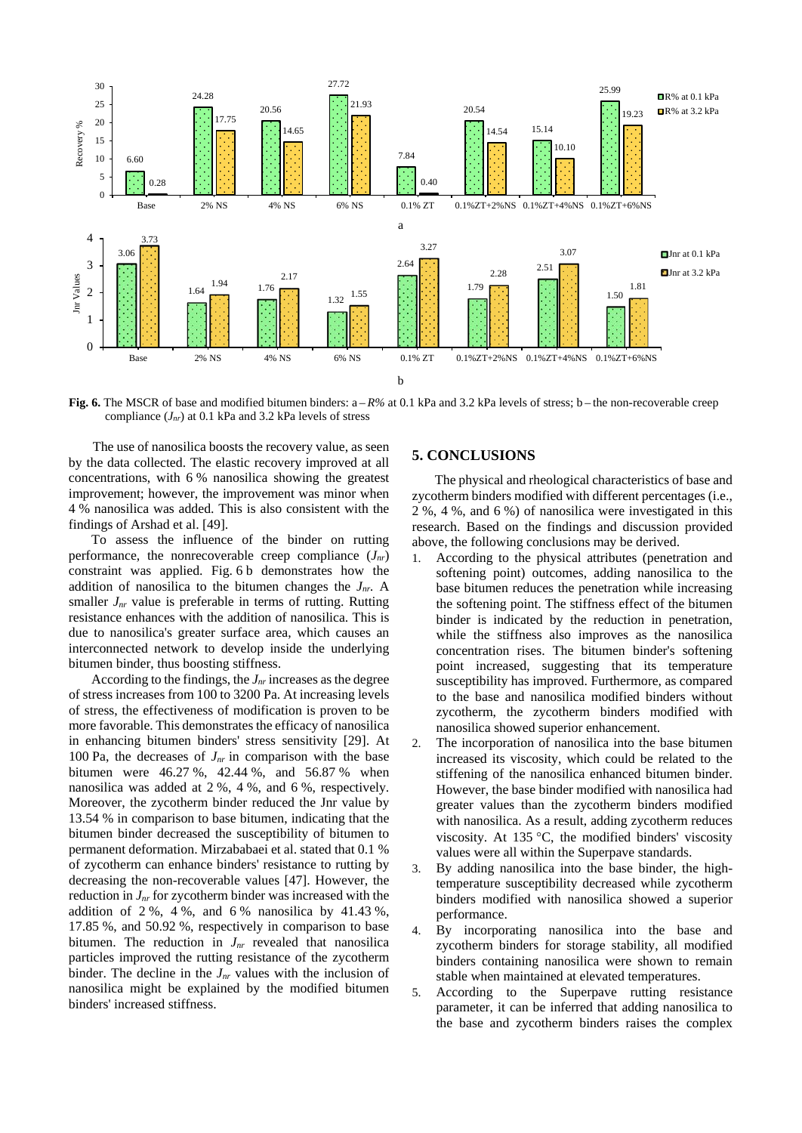

**Fig.** 6. The MSCR of base and modified bitumen binders:  $a - R\%$  at 0.1 kPa and 3.2 kPa levels of stress; b – the non-recoverable creep compliance (*Jnr*) at 0.1 kPa and 3.2 kPa levels of stress

The use of nanosilica boosts the recovery value, as seen by the data collected. The elastic recovery improved at all concentrations, with 6 % nanosilica showing the greatest improvement; however, the improvement was minor when 4 % nanosilica was added. This is also consistent with the findings of Arshad et al. [49].

To assess the influence of the binder on rutting performance, the nonrecoverable creep compliance  $(J_{nr})$ constraint was applied. Fig. 6 b demonstrates how the addition of nanosilica to the bitumen changes the *Jnr.* A smaller  $J_{nr}$  value is preferable in terms of rutting. Rutting resistance enhances with the addition of nanosilica. This is due to nanosilica's greater surface area, which causes an interconnected network to develop inside the underlying bitumen binder, thus boosting stiffness.

According to the findings, the *Jnr* increases as the degree of stress increases from 100 to 3200 Pa. At increasing levels of stress, the effectiveness of modification is proven to be more favorable. This demonstrates the efficacy of nanosilica in enhancing bitumen binders' stress sensitivity [29]. At 100 Pa, the decreases of *Jnr* in comparison with the base bitumen were 46.27 %, 42.44 %, and 56.87 % when nanosilica was added at 2 %, 4 %, and 6 %, respectively. Moreover, the zycotherm binder reduced the Jnr value by 13.54 % in comparison to base bitumen, indicating that the bitumen binder decreased the susceptibility of bitumen to permanent deformation. Mirzababaei et al. stated that 0.1 % of zycotherm can enhance binders' resistance to rutting by decreasing the non-recoverable values [47]. However, the reduction in *Jnr* for zycotherm binder was increased with the addition of  $2\%$ ,  $4\%$ , and  $6\%$  nanosilica by  $41.43\%$ , 17.85 %, and 50.92 %, respectively in comparison to base bitumen. The reduction in  $J_{nr}$  revealed that nanosilica particles improved the rutting resistance of the zycotherm binder. The decline in the  $J_{nr}$  values with the inclusion of nanosilica might be explained by the modified bitumen binders' increased stiffness.

# **5. CONCLUSIONS**

The physical and rheological characteristics of base and zycotherm binders modified with different percentages (i.e., 2 %, 4 %, and 6 %) of nanosilica were investigated in this research. Based on the findings and discussion provided above, the following conclusions may be derived.

- 1. According to the physical attributes (penetration and softening point) outcomes, adding nanosilica to the base bitumen reduces the penetration while increasing the softening point. The stiffness effect of the bitumen binder is indicated by the reduction in penetration, while the stiffness also improves as the nanosilica concentration rises. The bitumen binder's softening point increased, suggesting that its temperature susceptibility has improved. Furthermore, as compared to the base and nanosilica modified binders without zycotherm, the zycotherm binders modified with nanosilica showed superior enhancement.
- 2. The incorporation of nanosilica into the base bitumen increased its viscosity, which could be related to the stiffening of the nanosilica enhanced bitumen binder. However, the base binder modified with nanosilica had greater values than the zycotherm binders modified with nanosilica. As a result, adding zycotherm reduces viscosity. At 135 °C, the modified binders' viscosity values were all within the Superpave standards.
- 3. By adding nanosilica into the base binder, the hightemperature susceptibility decreased while zycotherm binders modified with nanosilica showed a superior performance.
- 4. By incorporating nanosilica into the base and zycotherm binders for storage stability, all modified binders containing nanosilica were shown to remain stable when maintained at elevated temperatures.
- 5. According to the Superpave rutting resistance parameter, it can be inferred that adding nanosilica to the base and zycotherm binders raises the complex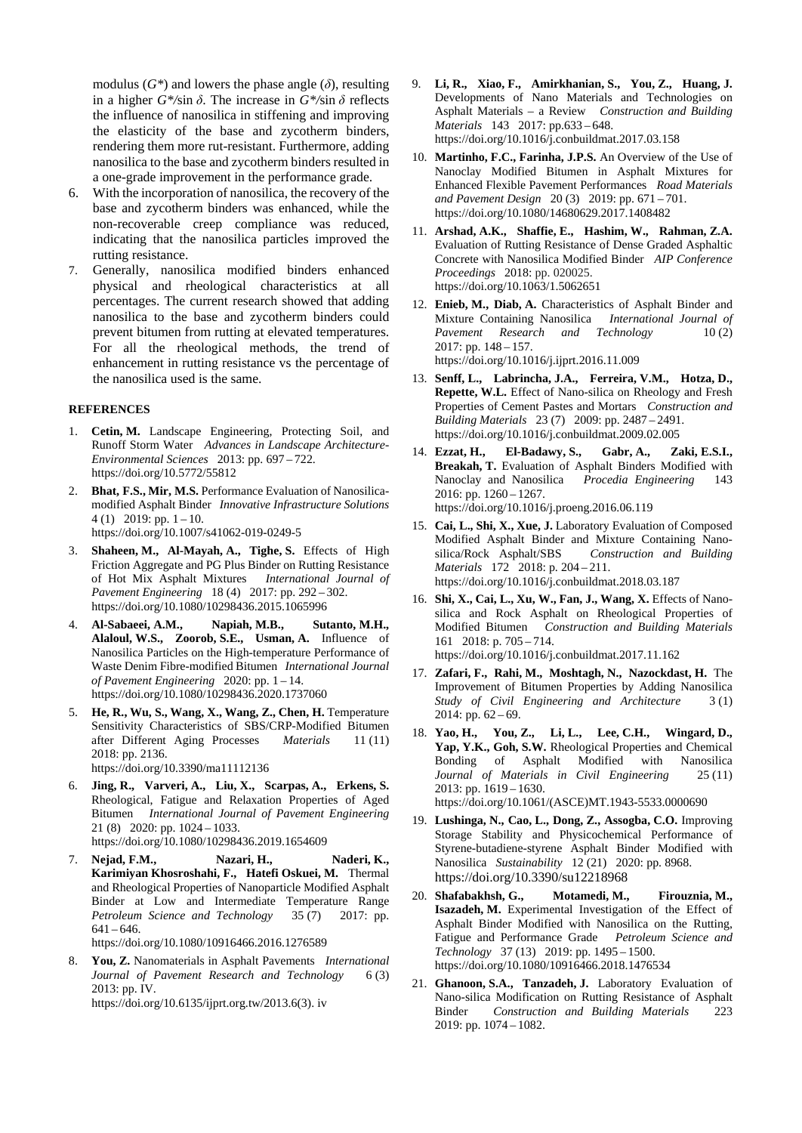modulus  $(G^*)$  and lowers the phase angle  $(\delta)$ , resulting in a higher  $G^*$ /sin  $\delta$ . The increase in  $G^*$ /sin  $\delta$  reflects the influence of nanosilica in stiffening and improving the elasticity of the base and zycotherm binders, rendering them more rut-resistant. Furthermore, adding nanosilica to the base and zycotherm binders resulted in a one-grade improvement in the performance grade.

- 6. With the incorporation of nanosilica, the recovery of the base and zycotherm binders was enhanced, while the non-recoverable creep compliance was reduced, indicating that the nanosilica particles improved the rutting resistance.
- 7. Generally, nanosilica modified binders enhanced physical and rheological characteristics at all percentages. The current research showed that adding nanosilica to the base and zycotherm binders could prevent bitumen from rutting at elevated temperatures. For all the rheological methods, the trend of enhancement in rutting resistance vs the percentage of the nanosilica used is the same.

# **REFERENCES**

- 1. **Cetin, M.** Landscape Engineering, Protecting Soil, and Runoff Storm Water *Advances in Landscape Architecture-Environmental Sciences* 2013: pp. 697 – 722. https://doi.org/10.5772/55812
- 2. **Bhat, F.S., Mir, M.S.** Performance Evaluation of Nanosilicamodified Asphalt Binder *Innovative Infrastructure Solutions*  4 (1) 2019: pp.  $1 - 10$ . <https://doi.org/10.1007/s41062-019-0249-5>
- 3. **Shaheen, M., Al-Mayah, A., Tighe, S.** Effects of High Friction Aggregate and PG Plus Binder on Rutting Resistance of Hot Mix Asphalt Mixtures *International Journal of Pavement Engineering* 18 (4) 2017: pp. 292 – 302. <https://doi.org/10.1080/10298436.2015.1065996>
- 4. **Al-Sabaeei, A.M., Napiah, M.B., Sutanto, M.H., Alaloul, W.S., Zoorob, S.E., Usman, A.** Influence of Nanosilica Particles on the High-temperature Performance of Waste Denim Fibre-modified Bitumen *International Journal of Pavement Engineering* 2020: pp. 1 – 14. <https://doi.org/10.1080/10298436.2020.1737060>
- 5. **He, R., Wu, S., Wang, X., Wang, Z., Chen, H.** Temperature Sensitivity Characteristics of SBS/CRP-Modified Bitumen after Different Aging Processes *Materials* 11 (11) 2018: pp. 2136. https://doi.org/10.3390/ma11112136
- 6. **Jing, R., Varveri, A., Liu, X., Scarpas, A., Erkens, S.** Rheological, Fatigue and Relaxation Properties of Aged Bitumen *International Journal of Pavement Engineering* 21 (8) 2020: pp. 1024 – 1033. https://doi.org/10.1080/10298436.2019.1654609
- 7. **Nejad, F.M., Nazari, H., Naderi, K., Karimiyan Khosroshahi, F., Hatefi Oskuei, M.** Thermal and Rheological Properties of Nanoparticle Modified Asphalt Binder at Low and Intermediate Temperature Range *Petroleum Science and Technology* 35 (7) 2017: pp.  $641 - 646.$

<https://doi.org/10.1080/10916466.2016.1276589>

8. **You, Z.** Nanomaterials in Asphalt Pavements *International Journal of Pavement Research and Technology* 6(3) 2013: pp. IV.

https://doi.org/10.6135/ijprt.org.tw/2013.6(3). iv

- 9. **Li, R., Xiao, F., Amirkhanian, S., You, Z., Huang, J.**  Developments of Nano Materials and Technologies on Asphalt Materials – a Review *Construction and Building Materials* 143 2017: pp.633 – 648. <https://doi.org/10.1016/j.conbuildmat.2017.03.158>
- 10. **Martinho, F.C., Farinha, J.P.S.** An Overview of the Use of Nanoclay Modified Bitumen in Asphalt Mixtures for Enhanced Flexible Pavement Performances *Road Materials and Pavement Design* 20 (3) 2019: pp. 671 – 701. <https://doi.org/10.1080/14680629.2017.1408482>
- 11. **Arshad, A.K., Shaffie, E., Hashim, W., Rahman, Z.A.**  Evaluation of Rutting Resistance of Dense Graded Asphaltic Concrete with Nanosilica Modified Binder *AIP Conference Proceedings* 2018: pp. 020025. <https://doi.org/10.1063/1.5062651>
- 12. **Enieb, M., Diab, A.** Characteristics of Asphalt Binder and Mixture Containing Nanosilica *International Journal of Pavement Research and Technology* 10(2) 2017: pp. 148 – 157. <https://doi.org/10.1016/j.ijprt.2016.11.009>
- 13. **Senff, L., Labrincha, J.A., Ferreira, V.M., Hotza, D., Repette, W.L.** Effect of Nano-silica on Rheology and Fresh Properties of Cement Pastes and Mortars *Construction and Building Materials* 23 (7) 2009: pp. 2487 – 2491. <https://doi.org/10.1016/j.conbuildmat.2009.02.005>
- 14. **Ezzat, H., El-Badawy, S., Gabr, A., Zaki, E.S.I., Breakah, T.** Evaluation of Asphalt Binders Modified with Nanoclay and Nanosilica *Procedia Engineering* 143 Nanoclay and Nanosilica *Procedia Engineering* 143 2016: pp. 1260 – 1267. <https://doi.org/10.1016/j.proeng.2016.06.119>
- 15. **Cai, L., Shi, X., Xue, J.** Laboratory Evaluation of Composed Modified Asphalt Binder and Mixture Containing Nanosilica/Rock Asphalt/SBS *Construction and Building Materials* 172 2018: p. 204 – 211. https://doi.org/10.1016/j.conbuildmat.2018.03.187
- 16. **Shi, X., Cai, L., Xu, W., Fan, J., Wang, X.** Effects of Nanosilica and Rock Asphalt on Rheological Properties of Modified Bitumen *Construction and Building Materials* 161 2018: p. 705 – 714. https://doi.org/10.1016/j.conbuildmat.2017.11.162
- 17. **Zafari, F., Rahi, M., Moshtagh, N., Nazockdast, H.** The Improvement of Bitumen Properties by Adding Nanosilica *Study of Civil Engineering and Architecture* 3 (1) 2014: pp. 62 – 69.
- 18. **Yao, H., You, Z., Li, L., Lee, C.H., Wingard, D., Yap, Y.K., Goh, S.W.** Rheological Properties and Chemical Bonding of Asphalt Modified with Nanosilica *Journal of Materials in Civil Engineering* 25 (11) 2013: pp. 1619 – 1630. https://doi.org/10.1061/(ASCE)MT.1943-5533.0000690
- 19. **Lushinga, N., Cao, L., Dong, Z., Assogba, C.O.** Improving Storage Stability and Physicochemical Performance of Styrene-butadiene-styrene Asphalt Binder Modified with Nanosilica *Sustainability* 12 (21) 2020: pp. 8968. <https://doi.org/10.3390/su12218968>
- 20. **Shafabakhsh, G., Motamedi, M., Firouznia, M., Isazadeh, M.** Experimental Investigation of the Effect of Asphalt Binder Modified with Nanosilica on the Rutting, Fatigue and Performance Grade *Petroleum Science and Technology* 37 (13) 2019: pp. 1495 – 1500. https://doi.org/10.1080/10916466.2018.1476534
- 21. **Ghanoon, S.A., Tanzadeh, J.** Laboratory Evaluation of Nano-silica Modification on Rutting Resistance of Asphalt<br>Rinder Construction and Building Materials 223 **Binder** *Construction and Building Materials* 2019: pp. 1074 – 1082.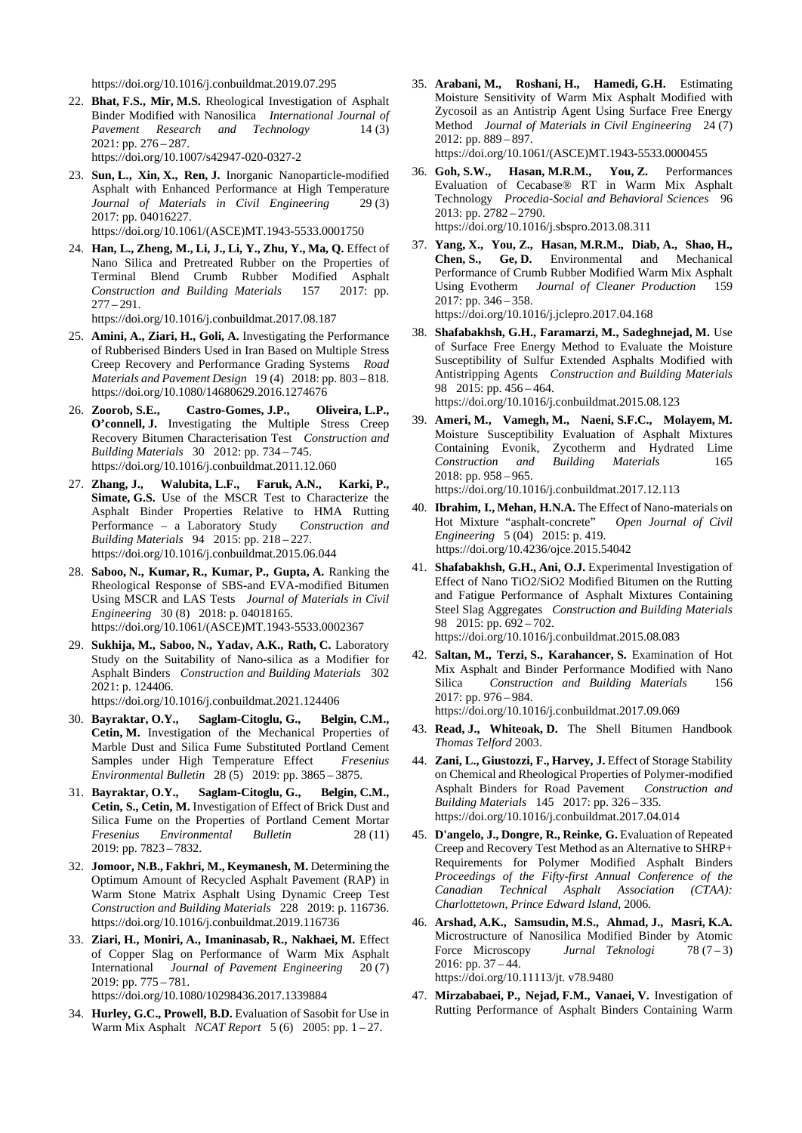https://doi.org/10.1016/j.conbuildmat.2019.07.295

- 22. **Bhat, F.S., Mir, M.S.** Rheological Investigation of Asphalt Binder Modified with Nanosilica *International Journal of Pavement Research and Technology* 14 (3) 2021: pp. 276 – 287. https://doi.org/10.1007/s42947-020-0327-2
- 23. **Sun, L., Xin, X., Ren, J.** Inorganic Nanoparticle-modified Asphalt with Enhanced Performance at High Temperature *Journal of Materials in Civil Engineering* 29 (3) 2017: pp. 04016227. https://doi.org/10.1061/(ASCE)MT.1943-5533.0001750
- 24. **Han, L., Zheng, M., Li, J., Li, Y., Zhu, Y., Ma, Q.** Effect of Nano Silica and Pretreated Rubber on the Properties of Terminal Blend Crumb Rubber Modified Asphalt *Construction and Building Materials* 157 2017: pp.

<https://doi.org/10.1016/j.conbuildmat.2017.08.187>

 $277 - 291.$ 

- 25. **Amini, A., Ziari, H., Goli, A.** Investigating the Performance of Rubberised Binders Used in Iran Based on Multiple Stress Creep Recovery and Performance Grading Systems *Road Materials and Pavement Design* 19 (4) 2018: pp. 803 – 818. https://doi.org/10.1080/14680629.2016.1274676
- 26. **Zoorob, S.E., Castro-Gomes, J.P., Oliveira, L.P., O'connell, J.** Investigating the Multiple Stress Creep Recovery Bitumen Characterisation Test *Construction and Building Materials* 30 2012: pp. 734 – 745. <https://doi.org/10.1016/j.conbuildmat.2011.12.060>
- 27. **Zhang, J., Walubita, L.F., Faruk, A.N., Karki, P., Simate, G.S.** Use of the MSCR Test to Characterize the Asphalt Binder Properties Relative to HMA Rutting Performance – a Laboratory Study *Construction and Building Materials* 94 2015: pp. 218 – 227. <https://doi.org/10.1016/j.conbuildmat.2015.06.044>
- 28. **Saboo, N., Kumar, R., Kumar, P., Gupta, A.** Ranking the Rheological Response of SBS-and EVA-modified Bitumen Using MSCR and LAS Tests *Journal of Materials in Civil Engineering* 30 (8) 2018: p. 04018165. https://doi.org/10.1061/(ASCE)MT.1943-5533.0002367
- 29. **Sukhija, M., Saboo, N., Yadav, A.K., Rath, C.** Laboratory Study on the Suitability of Nano-silica as a Modifier for Asphalt Binders *Construction and Building Materials* 302 2021: p. 124406.

https://doi.org/10.1016/j.conbuildmat.2021.124406

- 30. **Bayraktar, O.Y., Saglam-Citoglu, G., Belgin, C.M., Cetin, M.** Investigation of the Mechanical Properties of Marble Dust and Silica Fume Substituted Portland Cement Samples under High Temperature Effect *Fresenius Environmental Bulletin* 28 (5) 2019: pp. 3865 – 3875.
- 31. **Bayraktar, O.Y., Saglam-Citoglu, G., Belgin, C.M., Cetin, S., Cetin, M.** Investigation of Effect of Brick Dust and Silica Fume on the Properties of Portland Cement Mortar *Fresenius Environmental Bulletin* 28 (11) 2019: pp. 7823 – 7832.
- 32. **Jomoor, N.B., Fakhri, M., Keymanesh, M.** Determining the Optimum Amount of Recycled Asphalt Pavement (RAP) in Warm Stone Matrix Asphalt Using Dynamic Creep Test *Construction and Building Materials* 228 2019: p. 116736. <https://doi.org/10.1016/j.conbuildmat.2019.116736>
- 33. **Ziari, H., Moniri, A., Imaninasab, R., Nakhaei, M.** Effect of Copper Slag on Performance of Warm Mix Asphalt International *Journal of Pavement Engineering* 20 (7) 2019: pp. 775 – 781.

<https://doi.org/10.1080/10298436.2017.1339884>

34. **Hurley, G.C., Prowell, B.D.** Evaluation of Sasobit for Use in Warm Mix Asphalt *NCAT Report* 5 (6) 2005: pp. 1 – 27.

35. **Arabani, M., Roshani, H., Hamedi, G.H.** Estimating Moisture Sensitivity of Warm Mix Asphalt Modified with Zycosoil as an Antistrip Agent Using Surface Free Energy Method *Journal of Materials in Civil Engineering* 24 (7) 2012: pp. 889 – 897.

https://doi.org/10.1061/(ASCE)MT.1943-5533.0000455

- 36. **Goh, S.W., Hasan, M.R.M., You, Z.** Performances Evaluation of Cecabase® RT in Warm Mix Asphalt Technology *Procedia-Social and Behavioral Sciences* 96 2013: pp. 2782 – 2790. https://doi.org/10.1016/j.sbspro.2013.08.311
- 37. **Yang, X., You, Z., Hasan, M.R.M., Diab, A., Shao, H., Chen, S., Ge, D.** Environmental and Mechanical Performance of Crumb Rubber Modified Warm Mix Asphalt Using Evotherm *Journal of Cleaner Production* 2017: pp. 346 – 358. <https://doi.org/10.1016/j.jclepro.2017.04.168>
- 38. **Shafabakhsh, G.H., Faramarzi, M., Sadeghnejad, M.** Use of Surface Free Energy Method to Evaluate the Moisture Susceptibility of Sulfur Extended Asphalts Modified with Antistripping Agents *Construction and Building Materials* 98 2015: pp. 456 – 464. <https://doi.org/10.1016/j.conbuildmat.2015.08.123>
- 39. **Ameri, M., Vamegh, M., Naeni, S.F.C., Molayem, M.** Moisture Susceptibility Evaluation of Asphalt Mixtures Containing Evonik, Zycotherm and Hydrated Lime<br>Construction and Building Materials 165  $Construction$  and Building Materials 2018: pp. 958 – 965.

<https://doi.org/10.1016/j.conbuildmat.2017.12.113>

- 40. **Ibrahim, I., Mehan, H.N.A.** The Effect of Nano-materials on Hot Mixture "asphalt-concrete" *Engineering* 5 (04) 2015: p. 419. https://doi.org[/10.4236/ojce.2015.54042](http://www.scirp.org/journal/PaperInformation.aspx?PaperID=62005&#abstract)
- 41. **Shafabakhsh, G.H., Ani, O.J.** Experimental Investigation of Effect of Nano TiO2/SiO2 Modified Bitumen on the Rutting and Fatigue Performance of Asphalt Mixtures Containing Steel Slag Aggregates *Construction and Building Materials* 98 2015: pp. 692 - 702. <https://doi.org/10.1016/j.conbuildmat.2015.08.083>

42. **Saltan, M., Terzi, S., Karahancer, S.** Examination of Hot Mix Asphalt and Binder Performance Modified with Nano Silica *Construction and Building Materials* 156 2017: pp. 976 – 984.

<https://doi.org/10.1016/j.conbuildmat.2017.09.069>

- 43. **Read, J., Whiteoak, D.** The Shell Bitumen Handbook *Thomas Telford* 2003.
- 44. **Zani, L., Giustozzi, F., Harvey, J.** Effect of Storage Stability on Chemical and Rheological Properties of Polymer-modified Asphalt Binders for Road Pavement *Construction and Building Materials* 145 2017: pp. 326 – 335. <https://doi.org/10.1016/j.conbuildmat.2017.04.014>
- 45. **D'angelo, J., Dongre, R., Reinke, G.** Evaluation of Repeated Creep and Recovery Test Method as an Alternative to SHRP+ Requirements for Polymer Modified Asphalt Binders *Proceedings of the Fifty-first Annual Conference of the Canadian Technical Asphalt Association (CTAA): Charlottetown, Prince Edward Island*, 2006*.*
- 46. **Arshad, A.K., Samsudin, M.S., Ahmad, J., Masri, K.A.** Microstructure of Nanosilica Modified Binder by Atomic Force Microscopy *Jurnal Teknologi* 78 (7 – 3) 2016: pp. 37 – 44. https://doi.org/10.11113/jt. v78.9480
- 47. **Mirzababaei, P., Nejad, F.M., Vanaei, V.** Investigation of Rutting Performance of Asphalt Binders Containing Warm